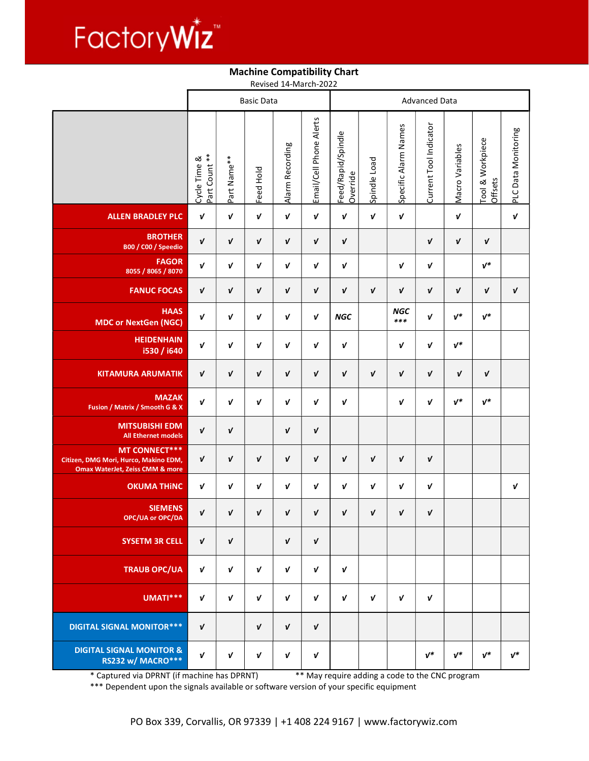

## Machine Compatibility Chart

Revised 14-March-2022

|                                                                                                             | <b>Basic Data</b>             |             |                  |                    |                         | <b>Advanced Data</b>           |              |                      |                        |                  |                             |                     |
|-------------------------------------------------------------------------------------------------------------|-------------------------------|-------------|------------------|--------------------|-------------------------|--------------------------------|--------------|----------------------|------------------------|------------------|-----------------------------|---------------------|
|                                                                                                             | Part Count **<br>Cycle Time & | Part Name** | Feed Hold        | Alarm Recording    | Email/Cell Phone Alerts | Feed/Rapid/Spindle<br>Override | Spindle Load | Specific Alarm Names | Current Tool Indicator | Macro Variables  | Tool & Workpiece<br>Offsets | PLC Data Monitoring |
| <b>ALLEN BRADLEY PLC</b>                                                                                    | V                             | V           | $\boldsymbol{V}$ | $\boldsymbol{V}$   | $\pmb{\mathsf{v}}$      | $\mathbf v$                    | $\mathbf v$  | $\pmb{\mathsf{v}}$   |                        | $\boldsymbol{v}$ |                             | $\boldsymbol{v}$    |
| <b>BROTHER</b><br>B00 / C00 / Speedio                                                                       | $\pmb{\mathsf{v}}$            | V           | V                | V                  | V                       | V                              |              |                      | V                      | V                | V                           |                     |
| <b>FAGOR</b><br>8055 / 8065 / 8070                                                                          | V                             | V           | V                | V                  | V                       | V                              |              | V                    | $\boldsymbol{V}$       |                  | $v^*$                       |                     |
| <b>FANUC FOCAS</b>                                                                                          | V                             | V           | V                | $\pmb{\mathsf{v}}$ | V                       | $\mathbf v$                    | $\mathbf v$  | V                    | V                      | $\mathbf v$      | $\mathbf v$                 | V                   |
| <b>HAAS</b><br><b>MDC or NextGen (NGC)</b>                                                                  | V                             | V           | V                | V                  | V                       | <b>NGC</b>                     |              | <b>NGC</b><br>$***$  | $\pmb{\mathsf{v}}$     | $v^*$            | $v^*$                       |                     |
| <b>HEIDENHAIN</b><br>i530 / i640                                                                            | V                             | V           | V                | V                  | V                       | V                              |              | $\boldsymbol{V}$     | V                      | $v^*$            |                             |                     |
| <b>KITAMURA ARUMATIK</b>                                                                                    | V                             | $\mathbf v$ | V                | $\mathbf v$        | V                       | $\mathbf v$                    | $\mathbf v$  | V                    | V                      | $\mathbf v$      | V                           |                     |
| <b>MAZAK</b><br>Fusion / Matrix / Smooth G & X                                                              | $\pmb{\mathit{v}}$            | V           | V                | V                  | V                       | $\mathbf v$                    |              | V                    | V                      | $v^*$            | $v^*$                       |                     |
| <b>MITSUBISHI EDM</b><br><b>All Ethernet models</b>                                                         | $\pmb{\mathit{v}}$            | V           |                  | $\mathbf v$        | V                       |                                |              |                      |                        |                  |                             |                     |
| <b>MT CONNECT***</b><br>Citizen, DMG Mori, Hurco, Makino EDM,<br><b>Omax WaterJet, Zeiss CMM &amp; more</b> | V                             | V           | V                | V                  | V                       | $\mathbf{v}$                   | $\mathbf v$  | $\mathbf v$          | $\pmb{\mathsf{v}}$     |                  |                             |                     |
| <b>OKUMA THINC</b>                                                                                          | V                             | V           | V                | V                  | V                       | $\mathbf v$                    | $\mathbf v$  | $\boldsymbol{V}$     | $\boldsymbol{V}$       |                  |                             | V                   |
| <b>SIEMENS</b><br>OPC/UA or OPC/DA                                                                          | $\pmb{\mathit{v}}$            | V           | V                | V                  | V                       | V                              | $\mathbf v$  | V                    | V                      |                  |                             |                     |
| <b>SYSETM 3R CELL</b>                                                                                       | V                             | $\mathbf v$ |                  | $\mathbf v$        | V                       |                                |              |                      |                        |                  |                             |                     |
| <b>TRAUB OPC/UA</b>                                                                                         | V                             | $\mathbf v$ | V                | V                  | V                       | V                              |              |                      |                        |                  |                             |                     |
| UMATI <sup>*</sup> **                                                                                       | V                             | $\mathbf v$ | V                | $\mathbf v$        | V                       | $\mathbf v$                    | $\mathbf v$  | $\mathbf v$          | $\mathbf v$            |                  |                             |                     |
| <b>DIGITAL SIGNAL MONITOR***</b>                                                                            | V                             |             | V                | V                  | V                       |                                |              |                      |                        |                  |                             |                     |
| <b>DIGITAL SIGNAL MONITOR &amp;</b><br><b>RS232 w/ MACRO***</b>                                             | V                             | V           | V                | $\boldsymbol{V}$   | V                       |                                |              |                      | $v^*$                  | $v^*$            | $v^*$                       | $v^*$               |

\* Captured via DPRNT (if machine has DPRNT) \*\* May require adding a code to the CNC program

\*\*\* Dependent upon the signals available or software version of your specific equipment